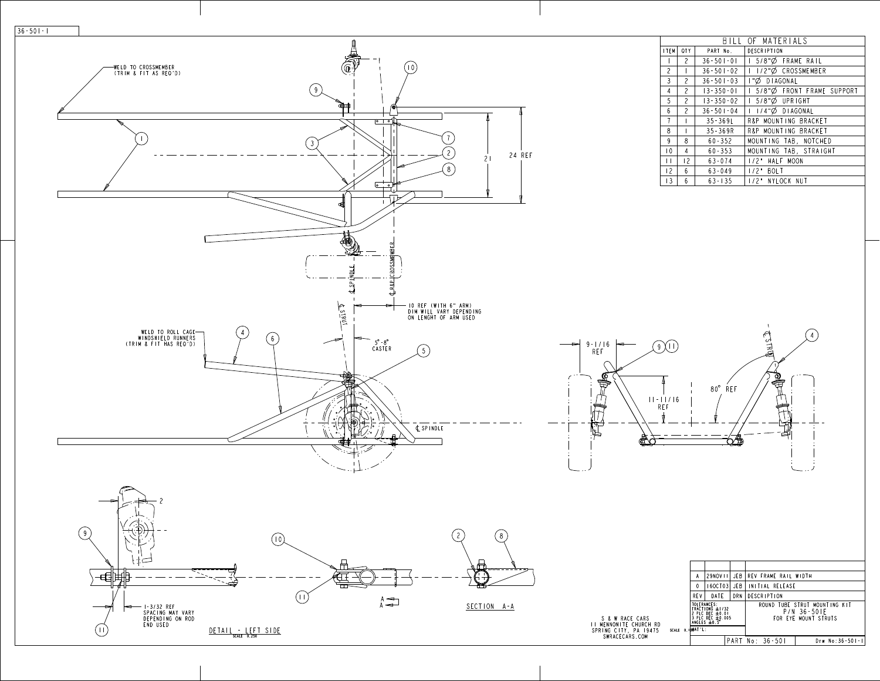24 REF

21

|                 |                |                 | BILL OF MATERIALS                  |
|-----------------|----------------|-----------------|------------------------------------|
| I TEM           | <b>QTY</b>     | PART No.        | DESCRIPTION                        |
|                 | $\overline{2}$ | $36 - 501 - 01$ | 5/8"Ø FRAME RAIL                   |
| $\overline{c}$  |                | $36 - 501 - 02$ | 1/2"Ø CROSSMEMBER                  |
| $\mathfrak{Z}$  | $\overline{c}$ | $36 - 501 - 03$ | I"Ø DIAGONAL                       |
| 4               | $\overline{c}$ | $13 - 350 - 01$ | 5/8"Ø FRONT FRAME SUPPORT<br>L     |
| 5               | $\overline{2}$ | $13 - 350 - 02$ | $5/8$ " $\varnothing$ UPRIGHT<br>L |
| $6\phantom{.}6$ | $\overline{c}$ | $36 - 501 - 04$ | I/4"Ø DIAGONAL                     |
| $\overline{1}$  |                | $35 - 369L$     | R&P MOUNTING BRACKET               |
| 8               |                | $35 - 369R$     | R&P MOUNTING BRACKET               |
| $\overline{9}$  | 8              | $60 - 352$      | MOUNTING TAB, NOTCHED              |
| $ 0\rangle$     | $\overline{4}$ | $60 - 353$      | MOUNTING TAB, STRAIGHT             |
| $\Box$          | 2              | $63 - 074$      | 1/2" HALF MOON                     |
| 12              | 6              | $63 - 049$      | 1/2" BOLT                          |
| 3               | 6              | $63 - 135$      | 1/2" NYLOCK NUT                    |

 $\sim$   $V_{\odot}$ 

F3HLE  $\left( 4 \right)$ 9-1/16  $9 \downarrow 1$ REF 昌 (C  $\vec{p}$ 80° REF 11-11/16 REF 戸 ₩ € **Q#**